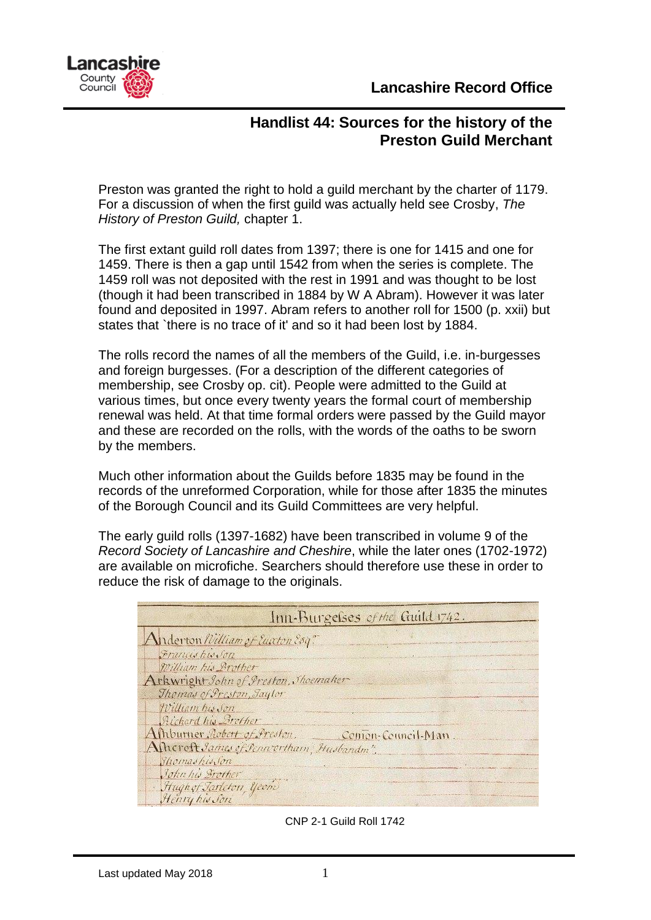



## **Handlist 44: Sources for the history of the Preston Guild Merchant**

Preston was granted the right to hold a guild merchant by the charter of 1179. For a discussion of when the first guild was actually held see Crosby, *The History of Preston Guild,* chapter 1.

The first extant guild roll dates from 1397; there is one for 1415 and one for 1459. There is then a gap until 1542 from when the series is complete. The 1459 roll was not deposited with the rest in 1991 and was thought to be lost (though it had been transcribed in 1884 by W A Abram). However it was later found and deposited in 1997. Abram refers to another roll for 1500 (p. xxii) but states that `there is no trace of it' and so it had been lost by 1884.

The rolls record the names of all the members of the Guild, i.e. in-burgesses and foreign burgesses. (For a description of the different categories of membership, see Crosby op. cit). People were admitted to the Guild at various times, but once every twenty years the formal court of membership renewal was held. At that time formal orders were passed by the Guild mayor and these are recorded on the rolls, with the words of the oaths to be sworn by the members.

Much other information about the Guilds before 1835 may be found in the records of the unreformed Corporation, while for those after 1835 the minutes of the Borough Council and its Guild Committees are very helpful.

The early guild rolls (1397-1682) have been transcribed in volume 9 of the *Record Society of Lancashire and Cheshire*, while the later ones (1702-1972) are available on microfiche. Searchers should therefore use these in order to reduce the risk of damage to the originals.

|                                                                                              | Inn-Burgelses of the Guild 1742. |
|----------------------------------------------------------------------------------------------|----------------------------------|
| Anderton William of Euxton Esq."                                                             |                                  |
| Francis his Son                                                                              |                                  |
| William his Brother                                                                          |                                  |
| Arkwright John of Preston, Thoemaker                                                         |                                  |
| Thomas of Preston, Saylor                                                                    |                                  |
| William his Son                                                                              |                                  |
| Richard his Brother                                                                          |                                  |
| Ashburner Robert of Preston. Conton-Council-Man.<br>Alherost James of Pennortham, Husbandm". |                                  |
| ShomashirSon                                                                                 |                                  |
| John his Grother                                                                             |                                  |
| Hugh of Tarleton, Yeom                                                                       |                                  |

CNP 2-1 Guild Roll 1742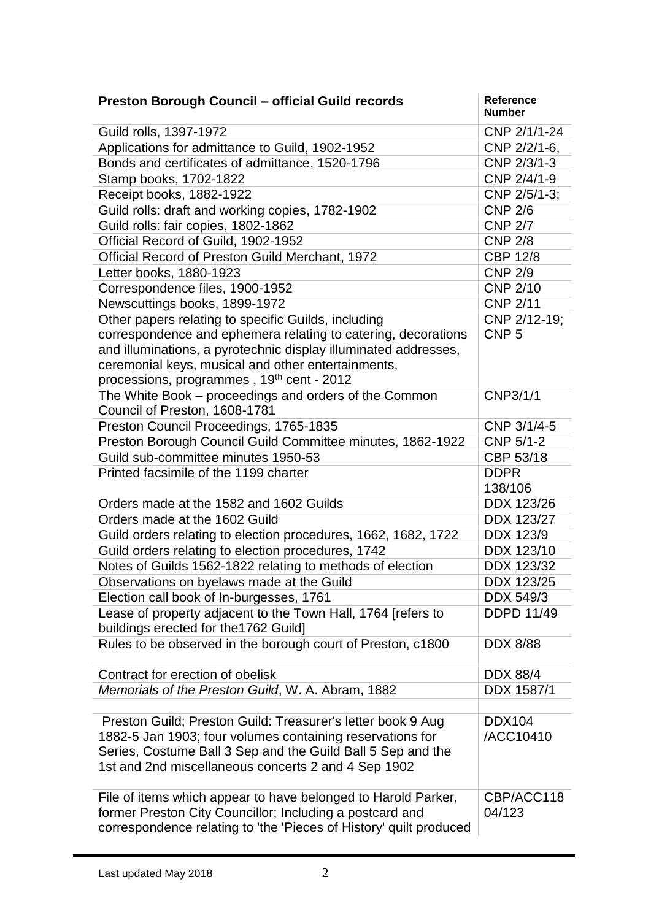| <b>Preston Borough Council - official Guild records</b>            | <b>Reference</b><br><b>Number</b> |
|--------------------------------------------------------------------|-----------------------------------|
| Guild rolls, 1397-1972                                             | CNP 2/1/1-24                      |
| Applications for admittance to Guild, 1902-1952                    | CNP 2/2/1-6,                      |
| Bonds and certificates of admittance, 1520-1796                    | CNP 2/3/1-3                       |
| Stamp books, 1702-1822                                             | CNP 2/4/1-9                       |
| Receipt books, 1882-1922                                           | CNP 2/5/1-3;                      |
| Guild rolls: draft and working copies, 1782-1902                   | <b>CNP 2/6</b>                    |
| Guild rolls: fair copies, 1802-1862                                | <b>CNP 2/7</b>                    |
| Official Record of Guild, 1902-1952                                | <b>CNP 2/8</b>                    |
| Official Record of Preston Guild Merchant, 1972                    | <b>CBP 12/8</b>                   |
| Letter books, 1880-1923                                            | <b>CNP 2/9</b>                    |
| Correspondence files, 1900-1952                                    | <b>CNP 2/10</b>                   |
| Newscuttings books, 1899-1972                                      | <b>CNP 2/11</b>                   |
| Other papers relating to specific Guilds, including                | CNP 2/12-19;                      |
| correspondence and ephemera relating to catering, decorations      | CNP <sub>5</sub>                  |
| and illuminations, a pyrotechnic display illuminated addresses,    |                                   |
| ceremonial keys, musical and other entertainments,                 |                                   |
| processions, programmes, 19 <sup>th</sup> cent - 2012              |                                   |
| The White Book – proceedings and orders of the Common              | CNP3/1/1                          |
| Council of Preston, 1608-1781                                      |                                   |
| Preston Council Proceedings, 1765-1835                             | CNP 3/1/4-5                       |
| Preston Borough Council Guild Committee minutes, 1862-1922         | CNP 5/1-2                         |
| Guild sub-committee minutes 1950-53                                | CBP 53/18                         |
| Printed facsimile of the 1199 charter                              | <b>DDPR</b>                       |
|                                                                    | 138/106                           |
| Orders made at the 1582 and 1602 Guilds                            | DDX 123/26                        |
| Orders made at the 1602 Guild                                      | DDX 123/27                        |
| Guild orders relating to election procedures, 1662, 1682, 1722     | DDX 123/9                         |
| Guild orders relating to election procedures, 1742                 | DDX 123/10                        |
| Notes of Guilds 1562-1822 relating to methods of election          | DDX 123/32                        |
| Observations on byelaws made at the Guild                          | DDX 123/25                        |
| Election call book of In-burgesses, 1761                           | DDX 549/3                         |
| Lease of property adjacent to the Town Hall, 1764 [refers to       | <b>DDPD 11/49</b>                 |
| buildings erected for the 1762 Guild]                              |                                   |
| Rules to be observed in the borough court of Preston, c1800        | <b>DDX 8/88</b>                   |
| Contract for erection of obelisk                                   | <b>DDX 88/4</b>                   |
| Memorials of the Preston Guild, W. A. Abram, 1882                  | DDX 1587/1                        |
|                                                                    |                                   |
| Preston Guild; Preston Guild: Treasurer's letter book 9 Aug        | <b>DDX104</b>                     |
| 1882-5 Jan 1903; four volumes containing reservations for          | /ACC10410                         |
| Series, Costume Ball 3 Sep and the Guild Ball 5 Sep and the        |                                   |
| 1st and 2nd miscellaneous concerts 2 and 4 Sep 1902                |                                   |
|                                                                    |                                   |
| File of items which appear to have belonged to Harold Parker,      | CBP/ACC118                        |
| former Preston City Councillor; Including a postcard and           | 04/123                            |
| correspondence relating to 'the 'Pieces of History' quilt produced |                                   |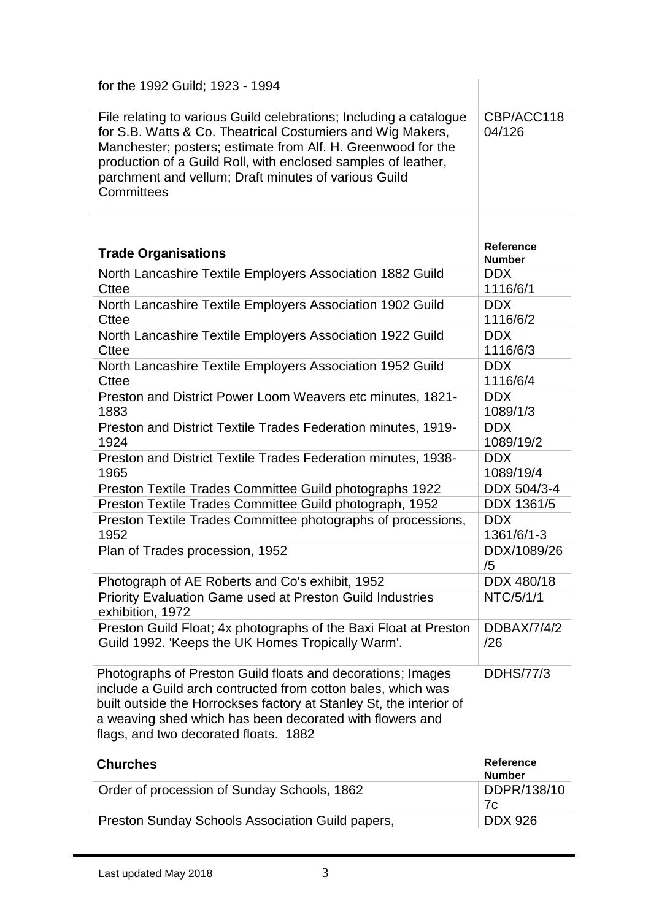| for the 1992 Guild; 1923 - 1994                                                                                                                                                                                                                                                                                                         |                                   |
|-----------------------------------------------------------------------------------------------------------------------------------------------------------------------------------------------------------------------------------------------------------------------------------------------------------------------------------------|-----------------------------------|
| File relating to various Guild celebrations; Including a catalogue<br>for S.B. Watts & Co. Theatrical Costumiers and Wig Makers,<br>Manchester; posters; estimate from Alf. H. Greenwood for the<br>production of a Guild Roll, with enclosed samples of leather,<br>parchment and vellum; Draft minutes of various Guild<br>Committees | CBP/ACC118<br>04/126              |
| <b>Trade Organisations</b>                                                                                                                                                                                                                                                                                                              | <b>Reference</b><br><b>Number</b> |
| North Lancashire Textile Employers Association 1882 Guild<br><b>Cttee</b>                                                                                                                                                                                                                                                               | <b>DDX</b><br>1116/6/1            |
| North Lancashire Textile Employers Association 1902 Guild<br><b>Cttee</b>                                                                                                                                                                                                                                                               | <b>DDX</b><br>1116/6/2            |
| North Lancashire Textile Employers Association 1922 Guild<br><b>Cttee</b>                                                                                                                                                                                                                                                               | <b>DDX</b><br>1116/6/3            |
| North Lancashire Textile Employers Association 1952 Guild<br><b>Cttee</b>                                                                                                                                                                                                                                                               | <b>DDX</b><br>1116/6/4            |
| Preston and District Power Loom Weavers etc minutes, 1821-<br>1883                                                                                                                                                                                                                                                                      | <b>DDX</b><br>1089/1/3            |
| Preston and District Textile Trades Federation minutes, 1919-<br>1924                                                                                                                                                                                                                                                                   | <b>DDX</b><br>1089/19/2           |
| Preston and District Textile Trades Federation minutes, 1938-<br>1965                                                                                                                                                                                                                                                                   | <b>DDX</b><br>1089/19/4           |
| Preston Textile Trades Committee Guild photographs 1922                                                                                                                                                                                                                                                                                 | DDX 504/3-4                       |
| Preston Textile Trades Committee Guild photograph, 1952                                                                                                                                                                                                                                                                                 | DDX 1361/5                        |
| Preston Textile Trades Committee photographs of processions,<br>1952                                                                                                                                                                                                                                                                    | <b>DDX</b><br>1361/6/1-3          |
| Plan of Trades procession, 1952                                                                                                                                                                                                                                                                                                         | DDX/1089/26<br>/5                 |
| Photograph of AE Roberts and Co's exhibit, 1952                                                                                                                                                                                                                                                                                         | DDX 480/18                        |
| <b>Priority Evaluation Game used at Preston Guild Industries</b><br>exhibition, 1972                                                                                                                                                                                                                                                    | NTC/5/1/1                         |
| Preston Guild Float; 4x photographs of the Baxi Float at Preston<br>Guild 1992. 'Keeps the UK Homes Tropically Warm'.                                                                                                                                                                                                                   | <b>DDBAX/7/4/2</b><br>/26         |
| Photographs of Preston Guild floats and decorations; Images<br>include a Guild arch contructed from cotton bales, which was<br>built outside the Horrockses factory at Stanley St, the interior of<br>a weaving shed which has been decorated with flowers and<br>flags, and two decorated floats. 1882                                 | <b>DDHS/77/3</b>                  |
| <b>Churches</b>                                                                                                                                                                                                                                                                                                                         | <b>Reference</b>                  |

| <b>Churches</b>                                  | Reference<br><b>Number</b> |
|--------------------------------------------------|----------------------------|
| Order of procession of Sunday Schools, 1862      | DDPR/138/10                |
|                                                  | 7c.                        |
| Preston Sunday Schools Association Guild papers, | <b>DDX 926</b>             |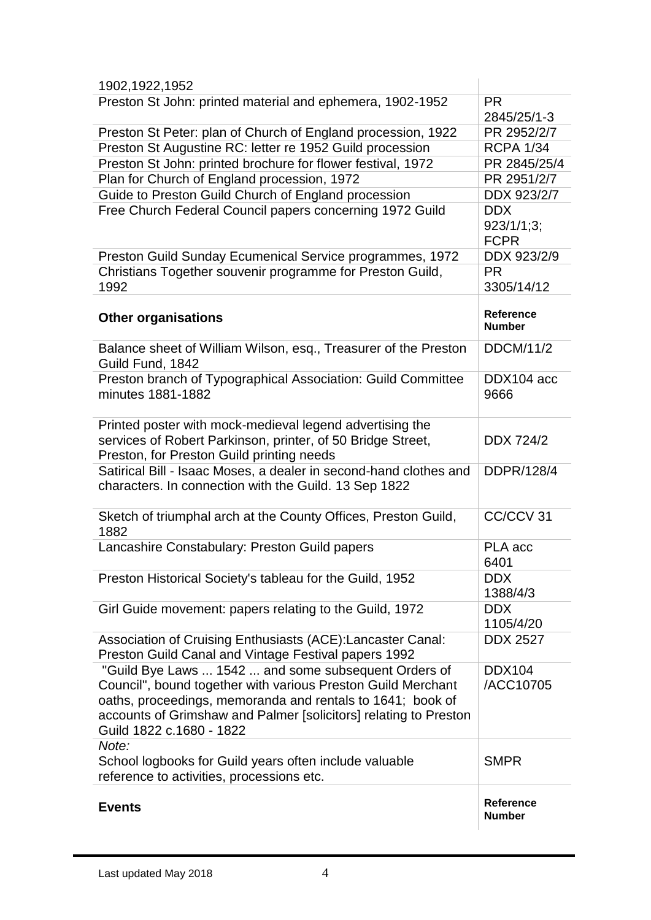| 1902, 1922, 1952                                                                                                                                                                                                                                                                   |                                         |
|------------------------------------------------------------------------------------------------------------------------------------------------------------------------------------------------------------------------------------------------------------------------------------|-----------------------------------------|
| Preston St John: printed material and ephemera, 1902-1952                                                                                                                                                                                                                          | <b>PR</b><br>2845/25/1-3                |
| Preston St Peter: plan of Church of England procession, 1922                                                                                                                                                                                                                       | PR 2952/2/7                             |
| Preston St Augustine RC: letter re 1952 Guild procession                                                                                                                                                                                                                           | <b>RCPA 1/34</b>                        |
| Preston St John: printed brochure for flower festival, 1972                                                                                                                                                                                                                        | PR 2845/25/4                            |
| Plan for Church of England procession, 1972                                                                                                                                                                                                                                        | PR 2951/2/7                             |
| Guide to Preston Guild Church of England procession                                                                                                                                                                                                                                | DDX 923/2/7                             |
| Free Church Federal Council papers concerning 1972 Guild                                                                                                                                                                                                                           | <b>DDX</b><br>923/1/1;3;<br><b>FCPR</b> |
| Preston Guild Sunday Ecumenical Service programmes, 1972                                                                                                                                                                                                                           | DDX 923/2/9                             |
| Christians Together souvenir programme for Preston Guild,<br>1992                                                                                                                                                                                                                  | <b>PR</b><br>3305/14/12                 |
| <b>Other organisations</b>                                                                                                                                                                                                                                                         | <b>Reference</b><br><b>Number</b>       |
| Balance sheet of William Wilson, esq., Treasurer of the Preston<br>Guild Fund, 1842                                                                                                                                                                                                | <b>DDCM/11/2</b>                        |
| Preston branch of Typographical Association: Guild Committee<br>minutes 1881-1882                                                                                                                                                                                                  | DDX104 acc<br>9666                      |
| Printed poster with mock-medieval legend advertising the<br>services of Robert Parkinson, printer, of 50 Bridge Street,<br>Preston, for Preston Guild printing needs                                                                                                               | <b>DDX 724/2</b>                        |
| Satirical Bill - Isaac Moses, a dealer in second-hand clothes and<br>characters. In connection with the Guild. 13 Sep 1822                                                                                                                                                         | DDPR/128/4                              |
| Sketch of triumphal arch at the County Offices, Preston Guild,<br>1882                                                                                                                                                                                                             | CC/CCV 31                               |
| Lancashire Constabulary: Preston Guild papers                                                                                                                                                                                                                                      | PLA acc<br>6401                         |
| Preston Historical Society's tableau for the Guild, 1952                                                                                                                                                                                                                           | <b>DDX</b><br>1388/4/3                  |
| Girl Guide movement: papers relating to the Guild, 1972                                                                                                                                                                                                                            | <b>DDX</b><br>1105/4/20                 |
| Association of Cruising Enthusiasts (ACE): Lancaster Canal:<br>Preston Guild Canal and Vintage Festival papers 1992                                                                                                                                                                | <b>DDX 2527</b>                         |
| "Guild Bye Laws  1542  and some subsequent Orders of<br>Council", bound together with various Preston Guild Merchant<br>oaths, proceedings, memoranda and rentals to 1641; book of<br>accounts of Grimshaw and Palmer [solicitors] relating to Preston<br>Guild 1822 c.1680 - 1822 | <b>DDX104</b><br>/ACC10705              |
| Note:<br>School logbooks for Guild years often include valuable<br>reference to activities, processions etc.                                                                                                                                                                       | <b>SMPR</b>                             |
| <b>Events</b>                                                                                                                                                                                                                                                                      | <b>Reference</b><br><b>Number</b>       |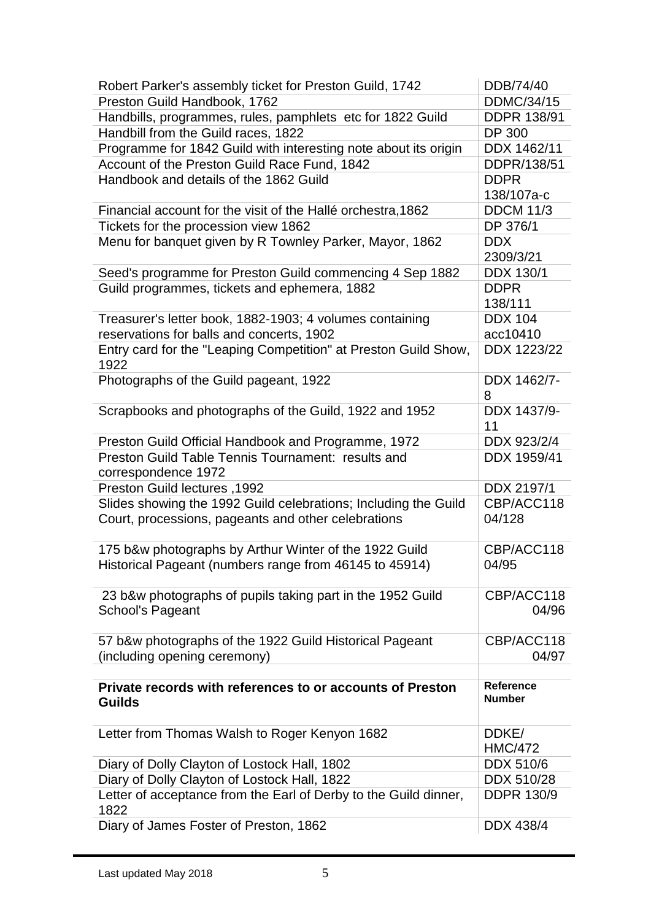| Robert Parker's assembly ticket for Preston Guild, 1742          | DDB/74/40          |
|------------------------------------------------------------------|--------------------|
| Preston Guild Handbook, 1762                                     | <b>DDMC/34/15</b>  |
| Handbills, programmes, rules, pamphlets etc for 1822 Guild       | <b>DDPR 138/91</b> |
| Handbill from the Guild races, 1822                              | <b>DP 300</b>      |
| Programme for 1842 Guild with interesting note about its origin  | DDX 1462/11        |
| Account of the Preston Guild Race Fund, 1842                     | DDPR/138/51        |
| Handbook and details of the 1862 Guild                           | <b>DDPR</b>        |
|                                                                  | 138/107a-c         |
| Financial account for the visit of the Hallé orchestra, 1862     | <b>DDCM 11/3</b>   |
| Tickets for the procession view 1862                             | DP 376/1           |
| Menu for banquet given by R Townley Parker, Mayor, 1862          | <b>DDX</b>         |
|                                                                  | 2309/3/21          |
| Seed's programme for Preston Guild commencing 4 Sep 1882         | DDX 130/1          |
| Guild programmes, tickets and ephemera, 1882                     | <b>DDPR</b>        |
|                                                                  | 138/111            |
| Treasurer's letter book, 1882-1903; 4 volumes containing         | <b>DDX 104</b>     |
| reservations for balls and concerts, 1902                        | acc10410           |
| Entry card for the "Leaping Competition" at Preston Guild Show,  | DDX 1223/22        |
| 1922                                                             |                    |
| Photographs of the Guild pageant, 1922                           | DDX 1462/7-        |
|                                                                  | 8                  |
| Scrapbooks and photographs of the Guild, 1922 and 1952           | DDX 1437/9-        |
|                                                                  | 11                 |
| Preston Guild Official Handbook and Programme, 1972              | DDX 923/2/4        |
| Preston Guild Table Tennis Tournament: results and               | DDX 1959/41        |
| correspondence 1972                                              |                    |
|                                                                  |                    |
| Preston Guild lectures, 1992                                     | DDX 2197/1         |
| Slides showing the 1992 Guild celebrations; Including the Guild  | CBP/ACC118         |
| Court, processions, pageants and other celebrations              | 04/128             |
|                                                                  |                    |
| 175 b&w photographs by Arthur Winter of the 1922 Guild           | CBP/ACC118         |
| Historical Pageant (numbers range from 46145 to 45914)           | 04/95              |
|                                                                  |                    |
| 23 b&w photographs of pupils taking part in the 1952 Guild       | CBP/ACC118         |
| <b>School's Pageant</b>                                          | 04/96              |
|                                                                  |                    |
| 57 b&w photographs of the 1922 Guild Historical Pageant          | CBP/ACC118         |
| (including opening ceremony)                                     | 04/97              |
|                                                                  |                    |
| Private records with references to or accounts of Preston        | Reference          |
| <b>Guilds</b>                                                    | <b>Number</b>      |
|                                                                  |                    |
| Letter from Thomas Walsh to Roger Kenyon 1682                    | DDKE/              |
|                                                                  | <b>HMC/472</b>     |
| Diary of Dolly Clayton of Lostock Hall, 1802                     | <b>DDX 510/6</b>   |
| Diary of Dolly Clayton of Lostock Hall, 1822                     | DDX 510/28         |
| Letter of acceptance from the Earl of Derby to the Guild dinner, | <b>DDPR 130/9</b>  |
| 1822<br>Diary of James Foster of Preston, 1862                   | DDX 438/4          |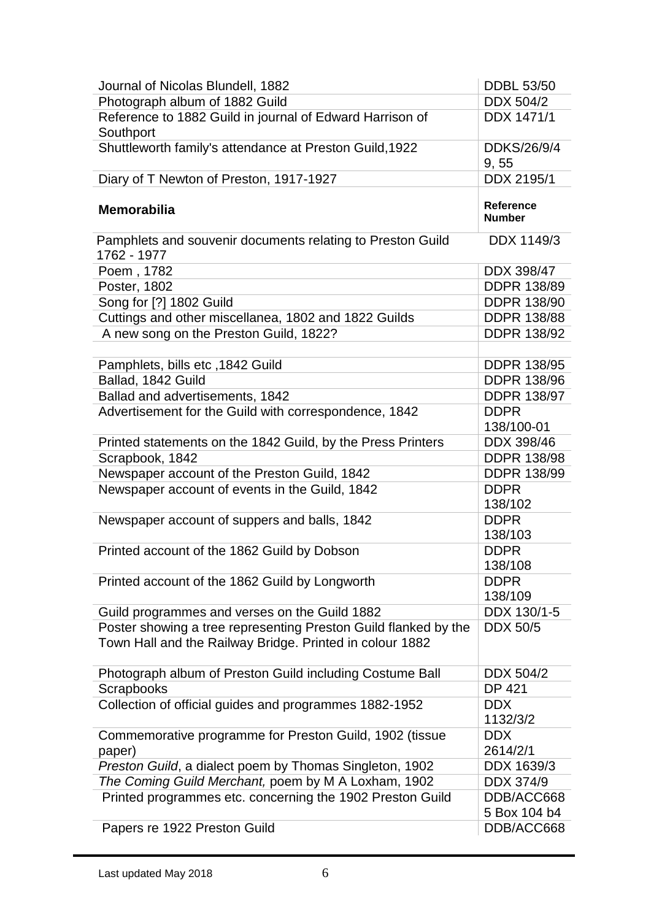| Journal of Nicolas Blundell, 1882                                         | <b>DDBL 53/50</b>          |
|---------------------------------------------------------------------------|----------------------------|
| Photograph album of 1882 Guild                                            | <b>DDX 504/2</b>           |
| Reference to 1882 Guild in journal of Edward Harrison of<br>Southport     | DDX 1471/1                 |
| Shuttleworth family's attendance at Preston Guild, 1922                   | DDKS/26/9/4<br>9,55        |
| Diary of T Newton of Preston, 1917-1927                                   | DDX 2195/1                 |
| <b>Memorabilia</b>                                                        | Reference<br><b>Number</b> |
| Pamphlets and souvenir documents relating to Preston Guild<br>1762 - 1977 | DDX 1149/3                 |
| Poem, 1782                                                                | DDX 398/47                 |
| Poster, 1802                                                              | <b>DDPR 138/89</b>         |
| Song for [?] 1802 Guild                                                   | <b>DDPR 138/90</b>         |
| Cuttings and other miscellanea, 1802 and 1822 Guilds                      | <b>DDPR 138/88</b>         |
| A new song on the Preston Guild, 1822?                                    | <b>DDPR 138/92</b>         |
|                                                                           |                            |
| Pamphlets, bills etc, 1842 Guild                                          | <b>DDPR 138/95</b>         |
| Ballad, 1842 Guild                                                        | <b>DDPR 138/96</b>         |
| Ballad and advertisements, 1842                                           | <b>DDPR 138/97</b>         |
| Advertisement for the Guild with correspondence, 1842                     | <b>DDPR</b><br>138/100-01  |
| Printed statements on the 1842 Guild, by the Press Printers               | DDX 398/46                 |
| Scrapbook, 1842                                                           | <b>DDPR 138/98</b>         |
| Newspaper account of the Preston Guild, 1842                              | <b>DDPR 138/99</b>         |
| Newspaper account of events in the Guild, 1842                            | <b>DDPR</b><br>138/102     |
| Newspaper account of suppers and balls, 1842                              | <b>DDPR</b><br>138/103     |
| Printed account of the 1862 Guild by Dobson                               | <b>DDPR</b>                |
|                                                                           | 138/108                    |
| Printed account of the 1862 Guild by Longworth                            | <b>DDPR</b><br>138/109     |
| Guild programmes and verses on the Guild 1882                             | DDX 130/1-5                |
| Poster showing a tree representing Preston Guild flanked by the           | <b>DDX 50/5</b>            |
| Town Hall and the Railway Bridge. Printed in colour 1882                  |                            |
| Photograph album of Preston Guild including Costume Ball                  | DDX 504/2                  |
| <b>Scrapbooks</b>                                                         | <b>DP 421</b>              |
| Collection of official guides and programmes 1882-1952                    | <b>DDX</b><br>1132/3/2     |
| Commemorative programme for Preston Guild, 1902 (tissue                   | <b>DDX</b><br>2614/2/1     |
| paper)<br>Preston Guild, a dialect poem by Thomas Singleton, 1902         | DDX 1639/3                 |
|                                                                           |                            |
| The Coming Guild Merchant, poem by M A Loxham, 1902                       | <b>DDX 374/9</b>           |
| Printed programmes etc. concerning the 1902 Preston Guild                 | DDB/ACC668<br>5 Box 104 b4 |
| Papers re 1922 Preston Guild                                              | DDB/ACC668                 |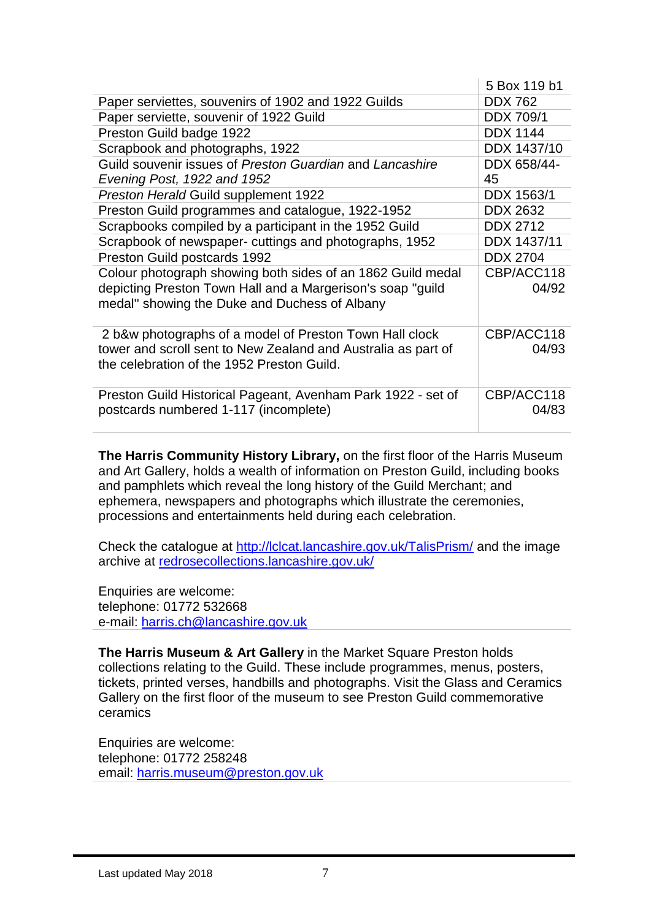|                                                               | 5 Box 119 b1     |
|---------------------------------------------------------------|------------------|
| Paper serviettes, souvenirs of 1902 and 1922 Guilds           | <b>DDX 762</b>   |
| Paper serviette, souvenir of 1922 Guild                       | <b>DDX 709/1</b> |
| Preston Guild badge 1922                                      | <b>DDX 1144</b>  |
| Scrapbook and photographs, 1922                               | DDX 1437/10      |
| Guild souvenir issues of Preston Guardian and Lancashire      | DDX 658/44-      |
| Evening Post, 1922 and 1952                                   | 45               |
| Preston Herald Guild supplement 1922                          | DDX 1563/1       |
| Preston Guild programmes and catalogue, 1922-1952             | <b>DDX 2632</b>  |
| Scrapbooks compiled by a participant in the 1952 Guild        | <b>DDX 2712</b>  |
| Scrapbook of newspaper- cuttings and photographs, 1952        | DDX 1437/11      |
| Preston Guild postcards 1992                                  | <b>DDX 2704</b>  |
| Colour photograph showing both sides of an 1862 Guild medal   | CBP/ACC118       |
| depicting Preston Town Hall and a Margerison's soap "guild"   | 04/92            |
| medal" showing the Duke and Duchess of Albany                 |                  |
|                                                               |                  |
| 2 b&w photographs of a model of Preston Town Hall clock       | CBP/ACC118       |
| tower and scroll sent to New Zealand and Australia as part of | 04/93            |
| the celebration of the 1952 Preston Guild.                    |                  |
|                                                               |                  |
| Preston Guild Historical Pageant, Avenham Park 1922 - set of  | CBP/ACC118       |
| postcards numbered 1-117 (incomplete)                         | 04/83            |
|                                                               |                  |

**The Harris Community History Library,** on the first floor of the Harris Museum and Art Gallery, holds a wealth of information on Preston Guild, including books and pamphlets which reveal the long history of the Guild Merchant; and ephemera, newspapers and photographs which illustrate the ceremonies, processions and entertainments held during each celebration.

Check the catalogue at<http://lclcat.lancashire.gov.uk/TalisPrism/> and the image archive at [redrosecollections.lancashire.gov.uk/](https://redrosecollections.lancashire.gov.uk/index.php?a=QuickSearch&q=preston%20guild&WINID=1525170977794)

Enquiries are welcome: telephone: 01772 532668 e-mail: [harris.ch@lancashire.gov.uk](mailto:harris.ch@lancashire.gov.uk)

**The Harris Museum & Art Gallery** in the Market Square Preston holds collections relating to the Guild. These include programmes, menus, posters, tickets, printed verses, handbills and photographs. Visit the Glass and Ceramics Gallery on the first floor of the museum to see Preston Guild commemorative ceramics

Enquiries are welcome: telephone: 01772 258248 email: [harris.museum@preston.gov.uk](mailto:harris.museum@preston.gov.uk)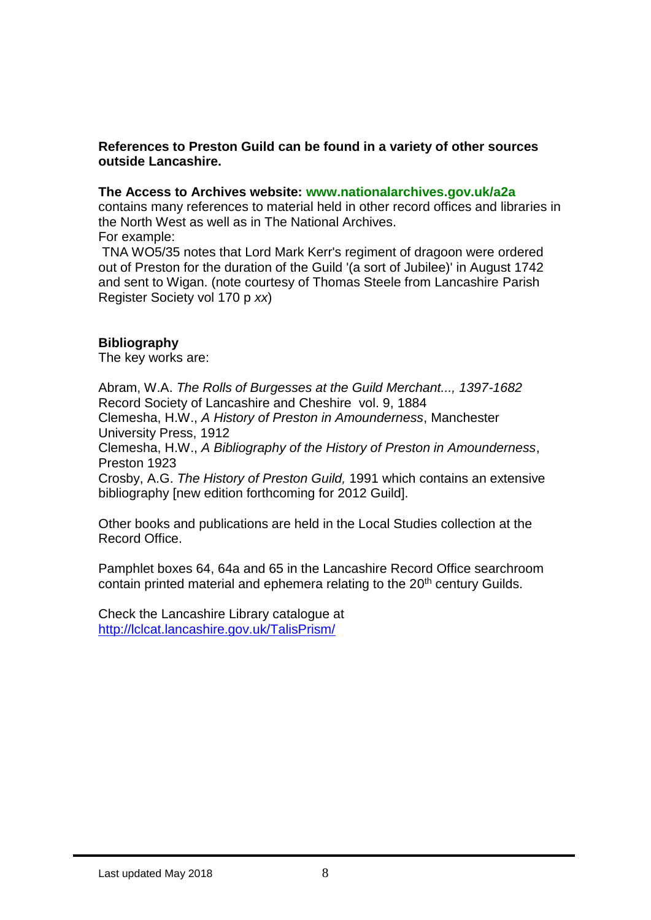## **References to Preston Guild can be found in a variety of other sources outside Lancashire.**

## **The Access to Archives website: www.nationalarchives.gov.uk/a2a**

contains many references to material held in other record offices and libraries in the North West as well as in The National Archives.

For example:

TNA WO5/35 notes that Lord Mark Kerr's regiment of dragoon were ordered out of Preston for the duration of the Guild '(a sort of Jubilee)' in August 1742 and sent to Wigan. (note courtesy of Thomas Steele from Lancashire Parish Register Society vol 170 p *xx*)

## **Bibliography**

The key works are:

Abram, W.A. *The Rolls of Burgesses at the Guild Merchant..., 1397-1682* Record Society of Lancashire and Cheshire vol. 9, 1884

Clemesha, H.W., *A History of Preston in Amounderness*, Manchester University Press, 1912

Clemesha, H.W., *A Bibliography of the History of Preston in Amounderness*, Preston 1923

Crosby, A.G. *The History of Preston Guild,* 1991 which contains an extensive bibliography [new edition forthcoming for 2012 Guild].

Other books and publications are held in the Local Studies collection at the Record Office.

Pamphlet boxes 64, 64a and 65 in the Lancashire Record Office searchroom contain printed material and ephemera relating to the 20<sup>th</sup> century Guilds.

Check the Lancashire Library catalogue at <http://lclcat.lancashire.gov.uk/TalisPrism/>